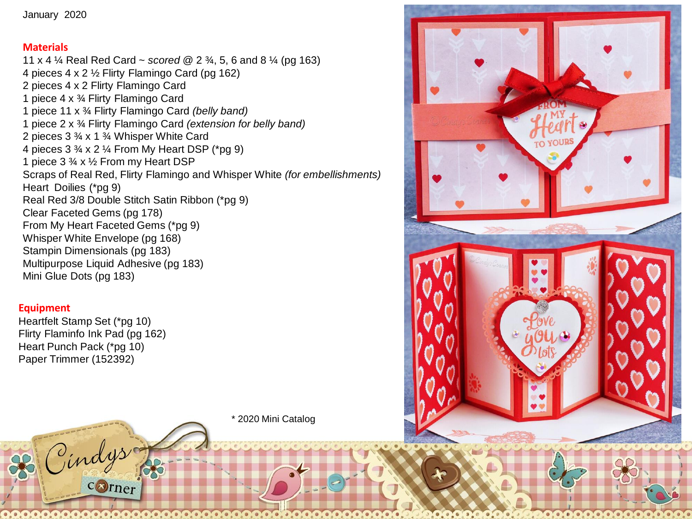## **Materials**

11 x 4 ¼ Real Red Card ~ *scored @* 2 ¾, 5, 6 and 8 ¼ (pg 163) 4 pieces 4 x 2 ½ Flirty Flamingo Card (pg 162) 2 pieces 4 x 2 Flirty Flamingo Card 1 piece 4 x ¾ Flirty Flamingo Card 1 piece 11 x ¾ Flirty Flamingo Card *(belly band)* 1 piece 2 x ¾ Flirty Flamingo Card *(extension for belly band)* 2 pieces 3 ¾ x 1 ¾ Whisper White Card 4 pieces 3 ¾ x 2 ¼ From My Heart DSP (\*pg 9) 1 piece 3 ¾ x ½ From my Heart DSP Scraps of Real Red, Flirty Flamingo and Whisper White *(for embellishments)* Heart Doilies (\*pg 9) Real Red 3/8 Double Stitch Satin Ribbon (\*pg 9) Clear Faceted Gems (pg 178) From My Heart Faceted Gems (\*pg 9) Whisper White Envelope (pg 168) Stampin Dimensionals (pg 183) Multipurpose Liquid Adhesive (pg 183) Mini Glue Dots (pg 183)

## **Equipment**

Heartfelt Stamp Set (\*pg 10) Flirty Flaminfo Ink Pad (pg 162) Heart Punch Pack (\*pg 10) Paper Trimmer (152392)

ind

corner

\* 2020 Mini Catalog